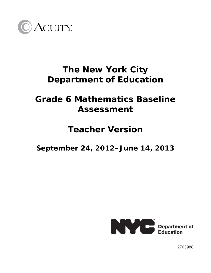

# **The New York City Department of Education**

## **Grade 6 Mathematics Baseline Assessment**

## **Teacher Version**

**September 24, 2012–June 14, 2013** 



2703988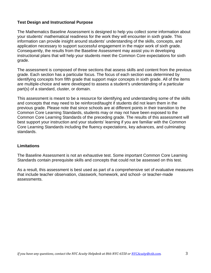### **Test Design and Instructional Purpose**

The Mathematics Baseline Assessment is designed to help you collect *some* information about your students' mathematical readiness for the work they will encounter in sixth grade. This information can provide insight around students' understanding of the skills, concepts, and application necessary to support successful engagement in the major work of sixth grade. Consequently, the results from the Baseline Assessment may assist you in developing instructional plans that will help your students meet the Common Core expectations for sixth grade.

The assessment is composed of three sections that assess skills and content from the previous grade. Each section has a particular focus. The focus of each section was determined by identifying concepts from fifth grade that support major concepts in sixth grade. All of the items are multiple-choice and were developed to assess a student's understanding of a particular part(s) of a standard, cluster, or domain.

This assessment is meant to be a resource for identifying and understanding some of the skills and concepts that may need to be reinforced/taught if students did not learn them in the previous grade. Please note that since schools are at different points in their transition to the Common Core Learning Standards, students may or may not have been exposed to the Common Core Learning Standards of the preceding grade. The results of this assessment will best support your instruction and your students' learning if you are familiar with the Common Core Learning Standards including the fluency expectations, key advances, and culminating standards.

#### **Limitations**

The Baseline Assessment is not an exhaustive test. Some important Common Core Learning Standards contain prerequisite skills and concepts that could not be assessed on this test.

As a result, this assessment is best used as part of a comprehensive set of evaluative measures that include teacher observation, classwork, homework, and school- or teacher-made assessments.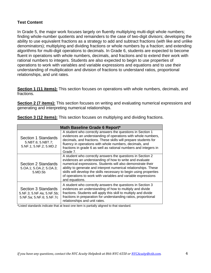### **Test Content**

In Grade 5, the major work focuses largely on fluently multiplying multi-digit whole numbers; finding whole-number quotients and remainders to the case of two-digit divisors; developing the ability to use equivalent fractions as a strategy to add and subtract fractions (with like and unlike denominators); multiplying and dividing fractions or whole numbers by a fraction; and extending algorithms for multi-digit operations to decimals. In Grade 6, students are expected to become fluent in operations with whole numbers, decimals, and fractions and to extend their work with rational numbers to integers. Students are also expected to begin to use properties of operations to work with variables and variable expressions and equations and to use their understanding of multiplication and division of fractions to understand ratios, proportional relationships, and unit rates.

**Section 1 (11 items):** This section focuses on operations with whole numbers, decimals, and fractions.

**Section 2 (7 items):** This section focuses on writing and evaluating numerical expressions and generating and interpreting numerical relationships.

| Math Baseline Grade 6 Report*                                                |                                                                                                                                                                                                                                                                                                                                                                                                                   |  |  |  |
|------------------------------------------------------------------------------|-------------------------------------------------------------------------------------------------------------------------------------------------------------------------------------------------------------------------------------------------------------------------------------------------------------------------------------------------------------------------------------------------------------------|--|--|--|
| Section 1 Standards<br>5.NBT.6; 5.NBT.7;<br>5.NF.1; 5.NF.2; 5.MD.2           | A student who correctly answers the questions in Section 1<br>evidences an understanding of operations with whole numbers,<br>decimals, and fractions. These skills will prepare students for<br>fluency in operations with whole numbers, decimals, and<br>fractions in grade 6 as well as rational numbers and integers in<br>Grade 7.                                                                          |  |  |  |
| Section 2 Standards<br>5.0A.1; 5.0A.2; 5.0A.3;<br>5.MD.5b                    | A student who correctly answers the questions in Section 2<br>evidences an understanding of how to write and evaluate<br>numerical expressions. Students will also demonstrate their<br>ability to generate and interpret numerical relationships. These<br>skills will develop the skills necessary to begin using properties<br>of operations to work with variables and variable expressions<br>and equations. |  |  |  |
| Section 3 Standards<br>5.NF.3; 5.NF.4a; 5.NF.5b;<br>5.NF.5a; 5.NF.6; 5.NF.7c | A student who correctly answers the questions in Section 3<br>evidences an understanding of how to multiply and divide<br>fractions. Students will apply this skill to multiply and divide<br>fractions in preparation for understanding ratios, proportional<br>relationships and unit rates.                                                                                                                    |  |  |  |

**Section 3 (12 items):** This section focuses on multiplying and dividing fractions.

\*Listed standards indicate that at least one item is partially aligned to that standard.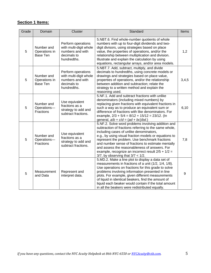## **Section 1 Items:**

| Grade | Domain                                         | Cluster                                                                                        | Standard                                                                                                                                                                                                                                                                                                                                                                                                                                                                    | Items |
|-------|------------------------------------------------|------------------------------------------------------------------------------------------------|-----------------------------------------------------------------------------------------------------------------------------------------------------------------------------------------------------------------------------------------------------------------------------------------------------------------------------------------------------------------------------------------------------------------------------------------------------------------------------|-------|
| 5     | Number and<br>Operations in<br>Base Ten        | Perform operations<br>with multi-digit whole<br>numbers and with<br>decimals to<br>hundredths. | 5.NBT.6. Find whole-number quotients of whole<br>numbers with up to four-digit dividends and two-<br>digit divisors, using strategies based on place<br>value, the properties of operations, and/or the<br>relationship between multiplication and division.<br>Illustrate and explain the calculation by using<br>equations, rectangular arrays, and/or area models.                                                                                                       | 1,2   |
| 5     | Number and<br>Operations in<br><b>Base Ten</b> | Perform operations<br>with multi-digit whole<br>numbers and with<br>decimals to<br>hundredths. | 5.NBT.7. Add, subtract, multiply, and divide<br>decimals to hundredths, using concrete models or<br>drawings and strategies based on place value,<br>properties of operations, and/or the relationship<br>between addition and subtraction; relate the<br>strategy to a written method and explain the<br>reasoning used.                                                                                                                                                   | 3,4,5 |
| 5     | Number and<br>Operations-<br>Fractions         | Use equivalent<br>fractions as a<br>strategy to add and<br>subtract fractions.                 | 5.NF.1. Add and subtract fractions with unlike<br>denominators (including mixed numbers) by<br>replacing given fractions with equivalent fractions in<br>such a way as to produce an equivalent sum or<br>difference of fractions with like denominators. For<br>example, $2/3 + 5/4 = 8/12 + 15/12 = 23/12$ . (In<br>general, $a/b + c/d = (ad + bc)/bd$ .)                                                                                                                | 6,10  |
| 5     | Number and<br>Operations-<br>Fractions         | Use equivalent<br>fractions as a<br>strategy to add and<br>subtract fractions.                 | 5.NF.2. Solve word problems involving addition and<br>subtraction of fractions referring to the same whole,<br>including cases of unlike denominators,<br>e.g., by using visual fraction models or equations to<br>represent the problem. Use benchmark fractions<br>and number sense of fractions to estimate mentally<br>and assess the reasonableness of answers. For<br>example, recognize an incorrect result $2/5 + 1/2 =$<br>$3/7$ , by observing that $3/7 < 1/2$ . | 7,8   |
| 5     | Measurement<br>and Data                        | Represent and<br>interpret data.                                                               | 5.MD.2. Make a line plot to display a data set of<br>measurements in fractions of a unit (1/2, 1/4, 1/8).<br>Use operations on fractions for this grade to solve<br>problems involving information presented in line<br>plots. For example, given different measurements<br>of liquid in identical beakers, find the amount of<br>liquid each beaker would contain if the total amount<br>in all the beakers were redistributed equally.                                    | 9     |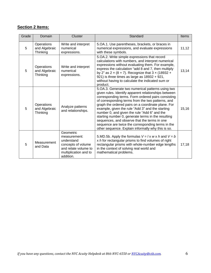### **Section 2 Items:**

| Grade | Domain                                  | Cluster                                                                                                                     | Standard                                                                                                                                                                                                                                                                                                                                                                                                                                                                                                                                                                                          | Items |
|-------|-----------------------------------------|-----------------------------------------------------------------------------------------------------------------------------|---------------------------------------------------------------------------------------------------------------------------------------------------------------------------------------------------------------------------------------------------------------------------------------------------------------------------------------------------------------------------------------------------------------------------------------------------------------------------------------------------------------------------------------------------------------------------------------------------|-------|
| 5     | Operations<br>and Algebraic<br>Thinking | Write and interpret<br>numerical<br>expressions.                                                                            | 5. OA. 1. Use parentheses, brackets, or braces in<br>numerical expressions, and evaluate expressions<br>with these symbols.                                                                                                                                                                                                                                                                                                                                                                                                                                                                       | 11,12 |
| 5     | Operations<br>and Algebraic<br>Thinking | Write and interpret<br>numerical<br>expressions.                                                                            | 5.OA.2. Write simple expressions that record<br>calculations with numbers, and interpret numerical<br>expressions without evaluating them. For example,<br>express the calculation "add 8 and 7, then multiply<br>by 2" as $2 \times (8 + 7)$ . Recognize that $3 \times (18932 +$<br>921) is three times as large as 18932 + 921,<br>without having to calculate the indicated sum or<br>product.                                                                                                                                                                                                | 13,14 |
| 5     | Operations<br>and Algebraic<br>Thinking | Analyze patterns<br>and relationships.                                                                                      | 5. OA. 3. Generate two numerical patterns using two<br>given rules. Identify apparent relationships between<br>corresponding terms. Form ordered pairs consisting<br>of corresponding terms from the two patterns, and<br>graph the ordered pairs on a coordinate plane. For<br>example, given the rule "Add 3" and the starting<br>number 0, and given the rule "Add 6" and the<br>starting number 0, generate terms in the resulting<br>sequences, and observe that the terms in one<br>sequence are twice the corresponding terms in the<br>other sequence. Explain informally why this is so. | 15,16 |
| 5     | Measurement<br>and Data                 | Geometric<br>measurement:<br>understand<br>concepts of volume<br>and relate volume to<br>multiplication and to<br>addition. | 5.MD.5b. Apply the formulas $V = Ix$ w x h and $V = b$<br>x $h$ for rectangular prisms to find volumes of right<br>rectangular prisms with whole-number edge lengths<br>in the context of solving real world and<br>mathematical problems.                                                                                                                                                                                                                                                                                                                                                        | 17,18 |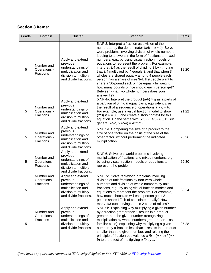### **Section 3 Items:**

| Grade | Domain                                  | Cluster                                                                                                                  | Standard                                                                                                                                                                                                                                                                                                                                                                                                                                                                                                                                                                                                                                                                                                                   | Items |
|-------|-----------------------------------------|--------------------------------------------------------------------------------------------------------------------------|----------------------------------------------------------------------------------------------------------------------------------------------------------------------------------------------------------------------------------------------------------------------------------------------------------------------------------------------------------------------------------------------------------------------------------------------------------------------------------------------------------------------------------------------------------------------------------------------------------------------------------------------------------------------------------------------------------------------------|-------|
| 5     | Number and<br>Operations -<br>Fractions | Apply and extend<br>previous<br>understandings of<br>multiplication and<br>division to multiply<br>and divide fractions. | 5.NF.3. Interpret a fraction as division of the<br>numerator by the denominator $(a/b = a \div b)$ . Solve<br>word problems involving division of whole numbers<br>leading to answers in the form of fractions or mixed<br>numbers, e.g., by using visual fraction models or<br>equations to represent the problem. For example,<br>interpret 3/4 as the result of dividing 3 by 4, noting<br>that 3/4 multiplied by 4 equals 3, and that when 3<br>wholes are shared equally among 4 people each<br>person has a share of size 3/4. If 9 people want to<br>share a 50-pound sack of rice equally by weight,<br>how many pounds of rice should each person get?<br>Between what two whole numbers does your<br>answer lie? | 19,20 |
| 5     | Number and<br>Operations -<br>Fractions | Apply and extend<br>previous<br>understandings of<br>multiplication and<br>division to multiply<br>and divide fractions. | 5.NF.4a. Interpret the product $(a/b) \times q$ as a parts of<br>a partition of $q$ into $b$ equal parts; equivalently, as<br>the result of a sequence of operations $a \times q \div b$ .<br>For example, use a visual fraction model to show<br>$(2/3) \times 4 = 8/3$ , and create a story context for this<br>equation. Do the same with $(2/3) \times (4/5) = 8/15$ . (In<br>general, $(a/b) \times (c/d) = ac/bd$ .)                                                                                                                                                                                                                                                                                                 | 21,22 |
| 5     | Number and<br>Operations -<br>Fractions | Apply and extend<br>previous<br>understandings of<br>multiplication and<br>division to multiply<br>and divide fractions. | 5.NF.5a. Comparing the size of a product to the<br>size of one factor on the basis of the size of the<br>other factor, without performing the indicated<br>multiplication.                                                                                                                                                                                                                                                                                                                                                                                                                                                                                                                                                 | 25,26 |
| 5     | Number and<br>Operations -<br>Fractions | Apply and extend<br>previous<br>understandings of<br>multiplication and<br>division to multiply<br>and divide fractions. | 5.NF.6. Solve real-world problems involving<br>multiplication of fractions and mixed numbers, e.g.,<br>by using visual fraction models or equations to<br>represent the problem.                                                                                                                                                                                                                                                                                                                                                                                                                                                                                                                                           | 29,30 |
| 5     | Number and<br>Operations -<br>Fractions | Apply and extend<br>previous<br>understandings of<br>multiplication and<br>division to multiply<br>and divide fractions. | 5.NF.7c. Solve real-world problems involving<br>division of unit fractions by non-zero whole<br>numbers and division of whole numbers by unit<br>fractions, e.g., by using visual fraction models and<br>equations to represent the problem. For example,<br>how much chocolate will each person get if 3<br>people share 1/2 lb of chocolate equally? How<br>many 1/3-cup servings are in 2 cups of raisins?                                                                                                                                                                                                                                                                                                              | 23,24 |
| 5     | Number and<br>Operations -<br>Fractions | Apply and extend<br>previous<br>understandings of<br>multiplication and<br>division to multiply<br>and divide fractions. | 5.NF.5b. Explaining why multiplying a given number<br>by a fraction greater than 1 results in a product<br>greater than the given number (recognizing<br>multiplication by whole numbers greater than 1 as a<br>familiar case); explaining why multiplying a given<br>number by a fraction less than 1 results in a product<br>smaller than the given number; and relating the<br>principle of fraction equivalence $a/b = (n \times a) / (n \times a)$<br>b) to the effect of multiplying $a/b$ by 1.                                                                                                                                                                                                                     | 27,28 |